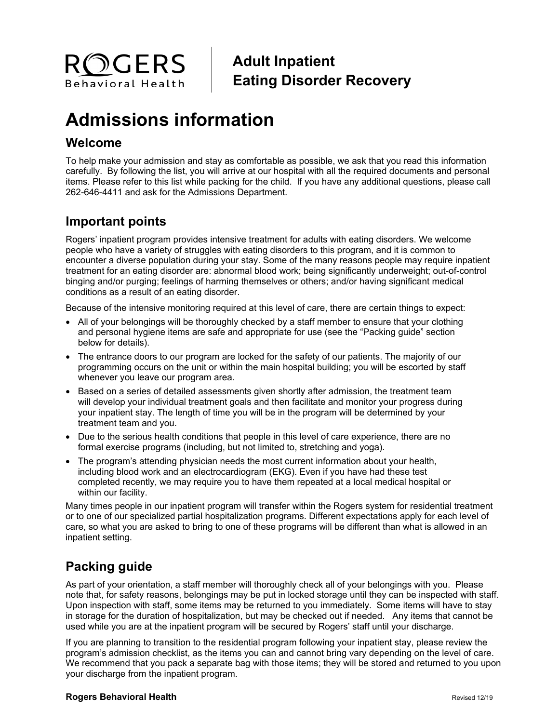

## **Adult Inpatient Eating Disorder Recovery**

# **Admissions information**

### **Welcome**

To help make your admission and stay as comfortable as possible, we ask that you read this information carefully. By following the list, you will arrive at our hospital with all the required documents and personal items. Please refer to this list while packing for the child. If you have any additional questions, please call 262-646-4411 and ask for the Admissions Department.

## **Important points**

Rogers' inpatient program provides intensive treatment for adults with eating disorders. We welcome people who have a variety of struggles with eating disorders to this program, and it is common to encounter a diverse population during your stay. Some of the many reasons people may require inpatient treatment for an eating disorder are: abnormal blood work; being significantly underweight; out-of-control binging and/or purging; feelings of harming themselves or others; and/or having significant medical conditions as a result of an eating disorder.

Because of the intensive monitoring required at this level of care, there are certain things to expect:

- All of your belongings will be thoroughly checked by a staff member to ensure that your clothing and personal hygiene items are safe and appropriate for use (see the "Packing guide" section below for details).
- The entrance doors to our program are locked for the safety of our patients. The majority of our programming occurs on the unit or within the main hospital building; you will be escorted by staff whenever you leave our program area.
- Based on a series of detailed assessments given shortly after admission, the treatment team will develop your individual treatment goals and then facilitate and monitor your progress during your inpatient stay. The length of time you will be in the program will be determined by your treatment team and you.
- Due to the serious health conditions that people in this level of care experience, there are no formal exercise programs (including, but not limited to, stretching and yoga).
- The program's attending physician needs the most current information about your health, including blood work and an electrocardiogram (EKG). Even if you have had these test completed recently, we may require you to have them repeated at a local medical hospital or within our facility.

Many times people in our inpatient program will transfer within the Rogers system for residential treatment or to one of our specialized partial hospitalization programs. Different expectations apply for each level of care, so what you are asked to bring to one of these programs will be different than what is allowed in an inpatient setting.

## **Packing guide**

As part of your orientation, a staff member will thoroughly check all of your belongings with you. Please note that, for safety reasons, belongings may be put in locked storage until they can be inspected with staff. Upon inspection with staff, some items may be returned to you immediately. Some items will have to stay in storage for the duration of hospitalization, but may be checked out if needed. Any items that cannot be used while you are at the inpatient program will be secured by Rogers' staff until your discharge.

If you are planning to transition to the residential program following your inpatient stay, please review the program's admission checklist, as the items you can and cannot bring vary depending on the level of care. We recommend that you pack a separate bag with those items; they will be stored and returned to you upon your discharge from the inpatient program.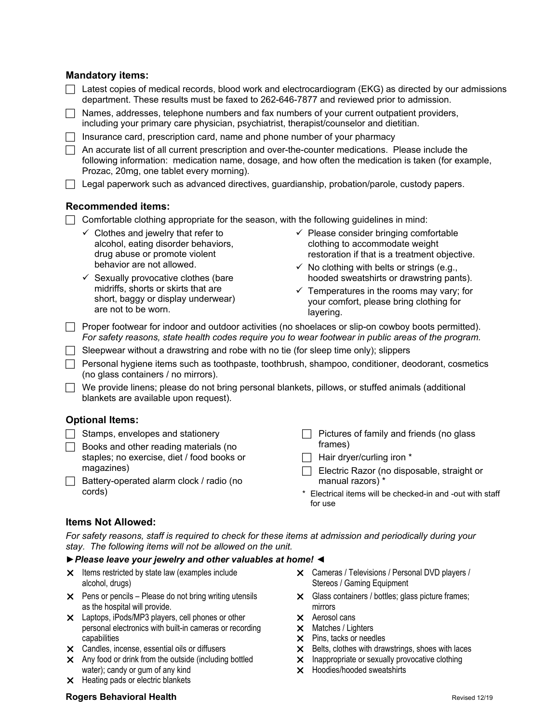#### **Mandatory items:**

| Latest copies of medical records, blood work and electrocardiogram (EKG) as directed by our admissions<br>department. These results must be faxed to 262-646-7877 and reviewed prior to admission.                                                   |                                                                                                                                                                                               |
|------------------------------------------------------------------------------------------------------------------------------------------------------------------------------------------------------------------------------------------------------|-----------------------------------------------------------------------------------------------------------------------------------------------------------------------------------------------|
| Names, addresses, telephone numbers and fax numbers of your current outpatient providers,<br>including your primary care physician, psychiatrist, therapist/counselor and dietitian.                                                                 |                                                                                                                                                                                               |
| Insurance card, prescription card, name and phone number of your pharmacy                                                                                                                                                                            |                                                                                                                                                                                               |
| An accurate list of all current prescription and over-the-counter medications. Please include the<br>following information: medication name, dosage, and how often the medication is taken (for example,<br>Prozac, 20mg, one tablet every morning). |                                                                                                                                                                                               |
| Legal paperwork such as advanced directives, guardianship, probation/parole, custody papers.                                                                                                                                                         |                                                                                                                                                                                               |
| <b>Recommended items:</b>                                                                                                                                                                                                                            |                                                                                                                                                                                               |
| Comfortable clothing appropriate for the season, with the following guidelines in mind:                                                                                                                                                              |                                                                                                                                                                                               |
| $\checkmark$ Clothes and jewelry that refer to<br>alcohol, eating disorder behaviors,<br>drug abuse or promote violent<br>behavior are not allowed.                                                                                                  | $\checkmark$ Please consider bringing comfortable<br>clothing to accommodate weight<br>restoration if that is a treatment objective.<br>$\checkmark$ No clothing with belts or strings (e.g., |
| $\checkmark$ Sexually provocative clothes (bare<br>midriffs, shorts or skirts that are<br>short, baggy or display underwear)<br>are not to be worn.                                                                                                  | hooded sweatshirts or drawstring pants).<br>$\checkmark$ Temperatures in the rooms may vary; for<br>your comfort, please bring clothing for<br>layering.                                      |
| Proper footwear for indoor and outdoor activities (no shoelaces or slip-on cowboy boots permitted).<br>For safety reasons, state health codes require you to wear footwear in public areas of the program.                                           |                                                                                                                                                                                               |
| Sleepwear without a drawstring and robe with no tie (for sleep time only); slippers                                                                                                                                                                  |                                                                                                                                                                                               |
| (no glass containers / no mirrors).                                                                                                                                                                                                                  | Personal hygiene items such as toothpaste, toothbrush, shampoo, conditioner, deodorant, cosmetics                                                                                             |
| We provide linens; please do not bring personal blankets, pillows, or stuffed animals (additional<br>$\Box$<br>blankets are available upon request).                                                                                                 |                                                                                                                                                                                               |
| <b>Optional Items:</b>                                                                                                                                                                                                                               |                                                                                                                                                                                               |
| Stamps, envelopes and stationery                                                                                                                                                                                                                     | Pictures of family and friends (no glass                                                                                                                                                      |
| Books and other reading materials (no                                                                                                                                                                                                                | frames)                                                                                                                                                                                       |
| staples; no exercise, diet / food books or                                                                                                                                                                                                           | Hair dryer/curling iron *                                                                                                                                                                     |

- Electric Razor (no disposable, straight or manual razors) \*
	- \* Electrical items will be checked-in and -out with staff for use

#### **Items Not Allowed:**

magazines)

cords)

*For safety reasons, staff is required to check for these items at admission and periodically during your stay. The following items will not be allowed on the unit.*

#### *►Please leave your jewelry and other valuables at home! ◄*

 $\times$  Items restricted by state law (examples include alcohol, drugs)

 $\Box$  Battery-operated alarm clock / radio (no

- $\times$  Pens or pencils Please do not bring writing utensils as the hospital will provide.
- Laptops, iPods/MP3 players, cell phones or other personal electronics with built-in cameras or recording capabilities
- Candles, incense, essential oils or diffusers
- $\times$  Any food or drink from the outside (including bottled water); candy or gum of any kind
- $\times$  Heating pads or electric blankets
- Cameras / Televisions / Personal DVD players / Stereos / Gaming Equipment
- Glass containers / bottles; glass picture frames; mirrors
- Aerosol cans
- $\times$  Matches / Lighters
- $\times$  Pins, tacks or needles
- $\times$  Belts, clothes with drawstrings, shoes with laces
- X Inappropriate or sexually provocative clothing
- Hoodies/hooded sweatshirts

#### **Rogers Behavioral Health Rogers Behavioral Health Revised 12/19**